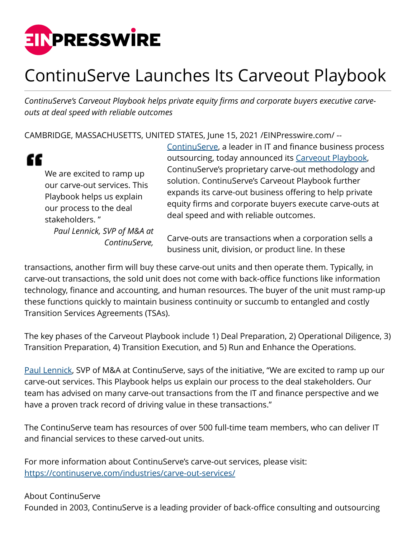

## ContinuServe Launches Its Carveout Playbook

*ContinuServe's Carveout Playbook helps private equity firms and corporate buyers executive carveouts at deal speed with reliable outcomes*

CAMBRIDGE, MASSACHUSETTS, UNITED STATES, June 15, 2021 /[EINPresswire.com](http://www.einpresswire.com)/ --



We are excited to ramp up our carve-out services. This Playbook helps us explain our process to the deal stakeholders. " *Paul Lennick, SVP of M&A at ContinuServe,* [ContinuServe](https://continuserve.com), a leader in IT and finance business process outsourcing, today announced its [Carveout Playbook](https://continuserve.com/industries/carve-out-services/), ContinuServe's proprietary carve-out methodology and solution. ContinuServe's Carveout Playbook further expands its carve-out business offering to help private equity firms and corporate buyers execute carve-outs at deal speed and with reliable outcomes.

Carve-outs are transactions when a corporation sells a business unit, division, or product line. In these

transactions, another firm will buy these carve-out units and then operate them. Typically, in carve-out transactions, the sold unit does not come with back-office functions like information technology, finance and accounting, and human resources. The buyer of the unit must ramp-up these functions quickly to maintain business continuity or succumb to entangled and costly Transition Services Agreements (TSAs).

The key phases of the Carveout Playbook include 1) Deal Preparation, 2) Operational Diligence, 3) Transition Preparation, 4) Transition Execution, and 5) Run and Enhance the Operations.

[Paul Lennick](https://continuserve.com), SVP of M&A at ContinuServe, says of the initiative, "We are excited to ramp up our carve-out services. This Playbook helps us explain our process to the deal stakeholders. Our team has advised on many carve-out transactions from the IT and finance perspective and we have a proven track record of driving value in these transactions."

The ContinuServe team has resources of over 500 full-time team members, who can deliver IT and financial services to these carved-out units.

For more information about ContinuServe's carve-out services, please visit: <https://continuserve.com/industries/carve-out-services/>

About ContinuServe

Founded in 2003, ContinuServe is a leading provider of back-office consulting and outsourcing